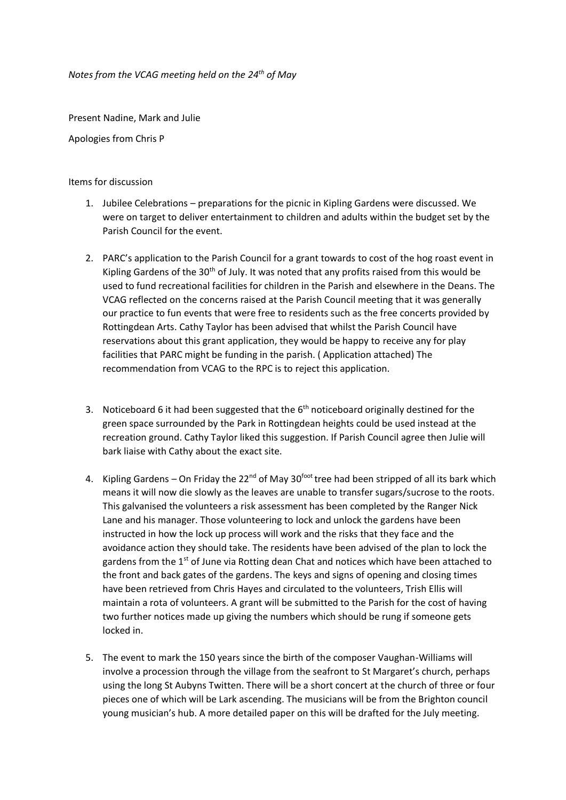*Notes from the VCAG meeting held on the 24th of May* 

Present Nadine, Mark and Julie

Apologies from Chris P

## Items for discussion

- 1. Jubilee Celebrations preparations for the picnic in Kipling Gardens were discussed. We were on target to deliver entertainment to children and adults within the budget set by the Parish Council for the event.
- 2. PARC's application to the Parish Council for a grant towards to cost of the hog roast event in Kipling Gardens of the  $30<sup>th</sup>$  of July. It was noted that any profits raised from this would be used to fund recreational facilities for children in the Parish and elsewhere in the Deans. The VCAG reflected on the concerns raised at the Parish Council meeting that it was generally our practice to fun events that were free to residents such as the free concerts provided by Rottingdean Arts. Cathy Taylor has been advised that whilst the Parish Council have reservations about this grant application, they would be happy to receive any for play facilities that PARC might be funding in the parish. ( Application attached) The recommendation from VCAG to the RPC is to reject this application.
- 3. Noticeboard 6 it had been suggested that the  $6<sup>th</sup>$  noticeboard originally destined for the green space surrounded by the Park in Rottingdean heights could be used instead at the recreation ground. Cathy Taylor liked this suggestion. If Parish Council agree then Julie will bark liaise with Cathy about the exact site.
- 4. Kipling Gardens On Friday the  $22^{nd}$  of May  $30^{foot}$  tree had been stripped of all its bark which means it will now die slowly as the leaves are unable to transfer sugars/sucrose to the roots. This galvanised the volunteers a risk assessment has been completed by the Ranger Nick Lane and his manager. Those volunteering to lock and unlock the gardens have been instructed in how the lock up process will work and the risks that they face and the avoidance action they should take. The residents have been advised of the plan to lock the gardens from the  $1<sup>st</sup>$  of June via Rotting dean Chat and notices which have been attached to the front and back gates of the gardens. The keys and signs of opening and closing times have been retrieved from Chris Hayes and circulated to the volunteers, Trish Ellis will maintain a rota of volunteers. A grant will be submitted to the Parish for the cost of having two further notices made up giving the numbers which should be rung if someone gets locked in.
- 5. The event to mark the 150 years since the birth of the composer Vaughan-Williams will involve a procession through the village from the seafront to St Margaret's church, perhaps using the long St Aubyns Twitten. There will be a short concert at the church of three or four pieces one of which will be Lark ascending. The musicians will be from the Brighton council young musician's hub. A more detailed paper on this will be drafted for the July meeting.